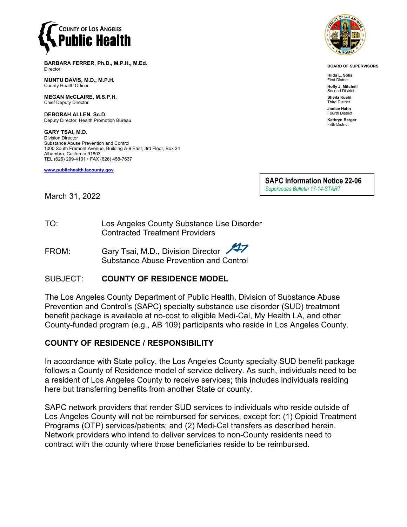

**BARBARA FERRER, Ph.D., M.P.H., M.Ed.** Director

**MUNTU DAVIS, M.D., M.P.H.** County Health Officer

**MEGAN McCLAIRE, M.S.P.H.** Chief Deputy Director

**DEBORAH ALLEN, Sc.D.** Deputy Director, Health Promotion Bureau

**GARY TSAI, M.D.** Division Director Substance Abuse Prevention and Control 1000 South Fremont Avenue, Building A-9 East, 3rd Floor, Box 34 Alhambra, California 91803 TEL (626) 299-4101 • FAX (626) 458-7637

**[www.publichealth.lacounty.gov](http://www.publichealth.lacounty.gov/)**



**BOARD OF SUPERVISORS**

**Hilda L. Solis** First District **Holly J. Mitchell** nd District **Sheila Kuehl** Third District **Janice Hahn** Fourth District **Kathryn Barger** Fifth District

**SAPC Information Notice 22-06** *Supersedes Bulletin 17-14-START*

March 31, 2022

TO: Los Angeles County Substance Use Disorder Contracted Treatment Providers

FROM: Gary Tsai, M.D., Division Director Substance Abuse Prevention and Control

# SUBJECT: **COUNTY OF RESIDENCE MODEL**

The Los Angeles County Department of Public Health, Division of Substance Abuse Prevention and Control's (SAPC) specialty substance use disorder (SUD) treatment benefit package is available at no-cost to eligible Medi-Cal, My Health LA, and other County-funded program (e.g., AB 109) participants who reside in Los Angeles County.

# **COUNTY OF RESIDENCE / RESPONSIBILITY**

In accordance with State policy, the Los Angeles County specialty SUD benefit package follows a County of Residence model of service delivery. As such, individuals need to be a resident of Los Angeles County to receive services; this includes individuals residing here but transferring benefits from another State or county.

SAPC network providers that render SUD services to individuals who reside outside of Los Angeles County will not be reimbursed for services, except for: (1) Opioid Treatment Programs (OTP) services/patients; and (2) Medi-Cal transfers as described herein. Network providers who intend to deliver services to non-County residents need to contract with the county where those beneficiaries reside to be reimbursed.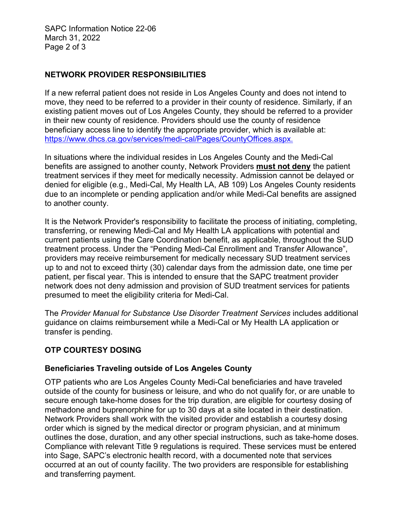SAPC Information Notice 22-06 March 31, 2022 Page 2 of 3

# **NETWORK PROVIDER RESPONSIBILITIES**

If a new referral patient does not reside in Los Angeles County and does not intend to move, they need to be referred to a provider in their county of residence. Similarly, if an existing patient moves out of Los Angeles County, they should be referred to a provider in their new county of residence. Providers should use the county of residence beneficiary access line to identify the appropriate provider, which is available at: [https://www.dhcs.ca.gov/services/medi-cal/Pages/CountyOffices.aspx.](https://www.dhcs.ca.gov/services/medi-cal/Pages/CountyOffices.aspx)

In situations where the individual resides in Los Angeles County and the Medi-Cal benefits are assigned to another county, Network Providers **must not deny** the patient treatment services if they meet for medically necessity. Admission cannot be delayed or denied for eligible (e.g., Medi-Cal, My Health LA, AB 109) Los Angeles County residents due to an incomplete or pending application and/or while Medi-Cal benefits are assigned to another county.

It is the Network Provider's responsibility to facilitate the process of initiating, completing, transferring, or renewing Medi-Cal and My Health LA applications with potential and current patients using the Care Coordination benefit, as applicable, throughout the SUD treatment process. Under the "Pending Medi-Cal Enrollment and Transfer Allowance", providers may receive reimbursement for medically necessary SUD treatment services up to and not to exceed thirty (30) calendar days from the admission date, one time per patient, per fiscal year. This is intended to ensure that the SAPC treatment provider network does not deny admission and provision of SUD treatment services for patients presumed to meet the eligibility criteria for Medi-Cal.

The *Provider Manual for Substance Use Disorder Treatment Services* includes additional guidance on claims reimbursement while a Medi-Cal or My Health LA application or transfer is pending.

### **OTP COURTESY DOSING**

### **Beneficiaries Traveling outside of Los Angeles County**

OTP patients who are Los Angeles County Medi-Cal beneficiaries and have traveled outside of the county for business or leisure, and who do not qualify for, or are unable to secure enough take-home doses for the trip duration, are eligible for courtesy dosing of methadone and buprenorphine for up to 30 days at a site located in their destination. Network Providers shall work with the visited provider and establish a courtesy dosing order which is signed by the medical director or program physician, and at minimum outlines the dose, duration, and any other special instructions, such as take-home doses. Compliance with relevant Title 9 regulations is required. These services must be entered into Sage, SAPC's electronic health record, with a documented note that services occurred at an out of county facility. The two providers are responsible for establishing and transferring payment.